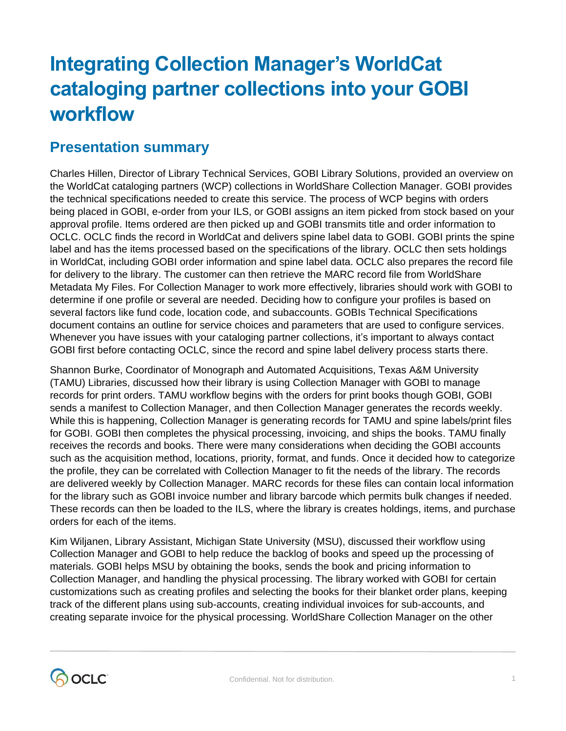# **Integrating Collection Manager's WorldCat cataloging partner collections into your GOBI workflow**

## **Presentation summary**

Charles Hillen, Director of Library Technical Services, GOBI Library Solutions, provided an overview on the WorldCat cataloging partners (WCP) collections in WorldShare Collection Manager. GOBI provides the technical specifications needed to create this service. The process of WCP begins with orders being placed in GOBI, e-order from your ILS, or GOBI assigns an item picked from stock based on your approval profile. Items ordered are then picked up and GOBI transmits title and order information to OCLC. OCLC finds the record in WorldCat and delivers spine label data to GOBI. GOBI prints the spine label and has the items processed based on the specifications of the library. OCLC then sets holdings in WorldCat, including GOBI order information and spine label data. OCLC also prepares the record file for delivery to the library. The customer can then retrieve the MARC record file from WorldShare Metadata My Files. For Collection Manager to work more effectively, libraries should work with GOBI to determine if one profile or several are needed. Deciding how to configure your profiles is based on several factors like fund code, location code, and subaccounts. GOBIs Technical Specifications document contains an outline for service choices and parameters that are used to configure services. Whenever you have issues with your cataloging partner collections, it's important to always contact GOBI first before contacting OCLC, since the record and spine label delivery process starts there.

Shannon Burke, Coordinator of Monograph and Automated Acquisitions, Texas A&M University (TAMU) Libraries, discussed how their library is using Collection Manager with GOBI to manage records for print orders. TAMU workflow begins with the orders for print books though GOBI, GOBI sends a manifest to Collection Manager, and then Collection Manager generates the records weekly. While this is happening, Collection Manager is generating records for TAMU and spine labels/print files for GOBI. GOBI then completes the physical processing, invoicing, and ships the books. TAMU finally receives the records and books. There were many considerations when deciding the GOBI accounts such as the acquisition method, locations, priority, format, and funds. Once it decided how to categorize the profile, they can be correlated with Collection Manager to fit the needs of the library. The records are delivered weekly by Collection Manager. MARC records for these files can contain local information for the library such as GOBI invoice number and library barcode which permits bulk changes if needed. These records can then be loaded to the ILS, where the library is creates holdings, items, and purchase orders for each of the items.

Kim Wiljanen, Library Assistant, Michigan State University (MSU), discussed their workflow using Collection Manager and GOBI to help reduce the backlog of books and speed up the processing of materials. GOBI helps MSU by obtaining the books, sends the book and pricing information to Collection Manager, and handling the physical processing. The library worked with GOBI for certain customizations such as creating profiles and selecting the books for their blanket order plans, keeping track of the different plans using sub-accounts, creating individual invoices for sub-accounts, and creating separate invoice for the physical processing. WorldShare Collection Manager on the other

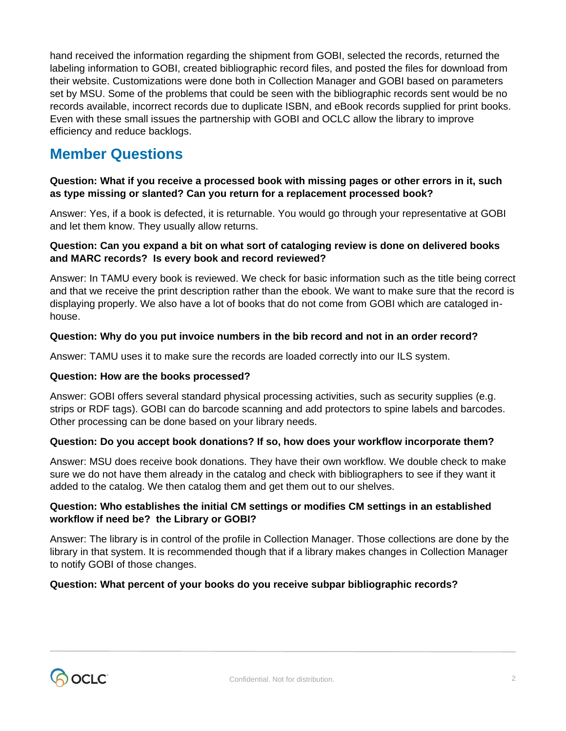hand received the information regarding the shipment from GOBI, selected the records, returned the labeling information to GOBI, created bibliographic record files, and posted the files for download from their website. Customizations were done both in Collection Manager and GOBI based on parameters set by MSU. Some of the problems that could be seen with the bibliographic records sent would be no records available, incorrect records due to duplicate ISBN, and eBook records supplied for print books. Even with these small issues the partnership with GOBI and OCLC allow the library to improve efficiency and reduce backlogs.

## **Member Questions**

#### **Question: What if you receive a processed book with missing pages or other errors in it, such as type missing or slanted? Can you return for a replacement processed book?**

Answer: Yes, if a book is defected, it is returnable. You would go through your representative at GOBI and let them know. They usually allow returns.

#### **Question: Can you expand a bit on what sort of cataloging review is done on delivered books and MARC records? Is every book and record reviewed?**

Answer: In TAMU every book is reviewed. We check for basic information such as the title being correct and that we receive the print description rather than the ebook. We want to make sure that the record is displaying properly. We also have a lot of books that do not come from GOBI which are cataloged inhouse.

#### **Question: Why do you put invoice numbers in the bib record and not in an order record?**

Answer: TAMU uses it to make sure the records are loaded correctly into our ILS system.

#### **Question: How are the books processed?**

Answer: GOBI offers several standard physical processing activities, such as security supplies (e.g. strips or RDF tags). GOBI can do barcode scanning and add protectors to spine labels and barcodes. Other processing can be done based on your library needs.

#### **Question: Do you accept book donations? If so, how does your workflow incorporate them?**

Answer: MSU does receive book donations. They have their own workflow. We double check to make sure we do not have them already in the catalog and check with bibliographers to see if they want it added to the catalog. We then catalog them and get them out to our shelves.

#### **Question: Who establishes the initial CM settings or modifies CM settings in an established workflow if need be? the Library or GOBI?**

Answer: The library is in control of the profile in Collection Manager. Those collections are done by the library in that system. It is recommended though that if a library makes changes in Collection Manager to notify GOBI of those changes.

#### **Question: What percent of your books do you receive subpar bibliographic records?**

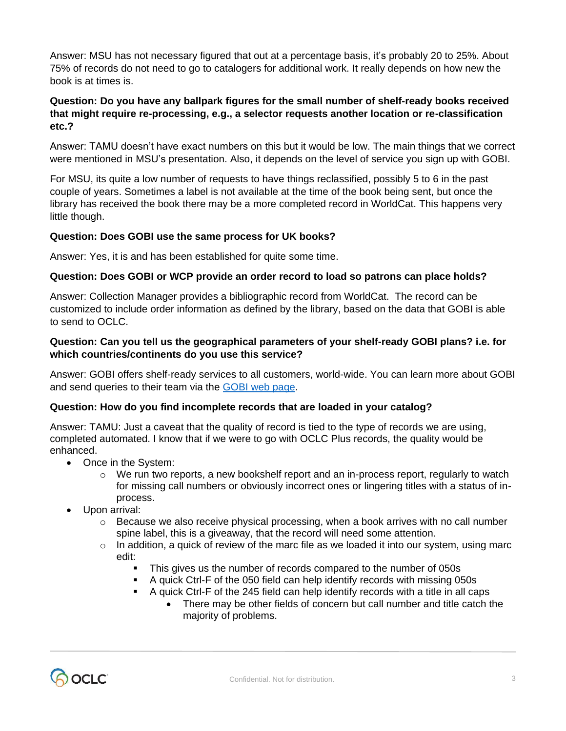Answer: MSU has not necessary figured that out at a percentage basis, it's probably 20 to 25%. About 75% of records do not need to go to catalogers for additional work. It really depends on how new the book is at times is.

#### **Question: Do you have any ballpark figures for the small number of shelf-ready books received that might require re-processing, e.g., a selector requests another location or re-classification etc.?**

Answer: TAMU doesn't have exact numbers on this but it would be low. The main things that we correct were mentioned in MSU's presentation. Also, it depends on the level of service you sign up with GOBI.

For MSU, its quite a low number of requests to have things reclassified, possibly 5 to 6 in the past couple of years. Sometimes a label is not available at the time of the book being sent, but once the library has received the book there may be a more completed record in WorldCat. This happens very little though.

#### **Question: Does GOBI use the same process for UK books?**

Answer: Yes, it is and has been established for quite some time.

#### **Question: Does GOBI or WCP provide an order record to load so patrons can place holds?**

Answer: Collection Manager provides a bibliographic record from WorldCat. The record can be customized to include order information as defined by the library, based on the data that GOBI is able to send to OCLC.

#### **Question: Can you tell us the geographical parameters of your shelf-ready GOBI plans? i.e. for which countries/continents do you use this service?**

Answer: GOBI offers shelf-ready services to all customers, world-wide. You can learn more about GOBI and send queries to their team via the [GOBI web page.](https://www.ebsco.com/products/gobi-library-solutions)

#### **Question: How do you find incomplete records that are loaded in your catalog?**

Answer: TAMU: Just a caveat that the quality of record is tied to the type of records we are using, completed automated. I know that if we were to go with OCLC Plus records, the quality would be enhanced.

- Once in the System:
	- $\circ$  We run two reports, a new bookshelf report and an in-process report, regularly to watch for missing call numbers or obviously incorrect ones or lingering titles with a status of inprocess.
- Upon arrival:
	- $\circ$  Because we also receive physical processing, when a book arrives with no call number spine label, this is a giveaway, that the record will need some attention.
	- $\circ$  In addition, a quick of review of the marc file as we loaded it into our system, using marc edit:
		- This gives us the number of records compared to the number of 050s
		- A quick Ctrl-F of the 050 field can help identify records with missing 050s
		- A quick Ctrl-F of the 245 field can help identify records with a title in all caps • There may be other fields of concern but call number and title catch the majority of problems.